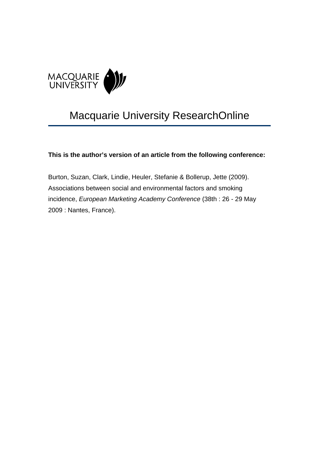

# Macquarie University ResearchOnline

**This is the author's version of an article from the following conference:** 

Burton, Suzan, Clark, Lindie, Heuler, Stefanie & Bollerup, Jette (2009). Associations between social and environmental factors and smoking incidence, *European Marketing Academy Conference* (38th : 26 - 29 May 2009 : Nantes, France).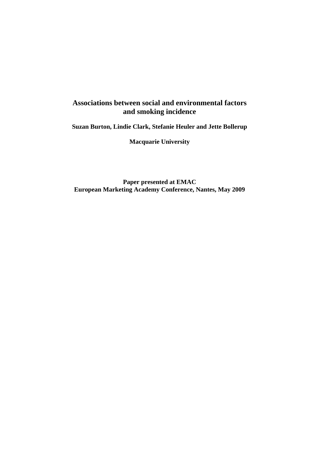## **Associations between social and environmental factors and smoking incidence**

**Suzan Burton, Lindie Clark, Stefanie Heuler and Jette Bollerup** 

**Macquarie University** 

**Paper presented at EMAC European Marketing Academy Conference, Nantes, May 2009**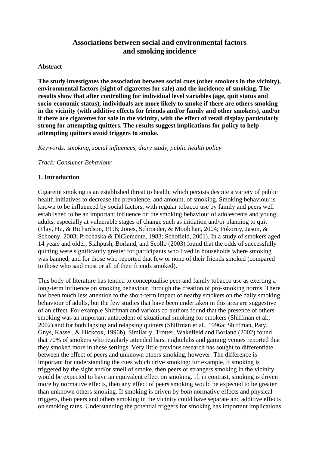## **Associations between social and environmental factors and smoking incidence**

#### **Abstract**

**The study investigates the association between social cues (other smokers in the vicinity), environmental factors (sight of cigarettes for sale) and the incidence of smoking. The results show that after controlling for individual level variables (age, quit status and socio-economic status), individuals are more likely to smoke if there are others smoking in the vicinity (with additive effects for friends and/or family and other smokers), and/or if there are cigarettes for sale in the vicinity, with the effect of retail display particularly strong for attempting quitters. The results suggest implications for policy to help attempting quitters avoid triggers to smoke.** 

*Keywords: smoking, social influences, diary study, public health policy* 

*Track: Consumer Behaviour* 

## **1. Introduction**

Cigarette smoking is an established threat to health, which persists despite a variety of public health initiatives to decrease the prevalence, and amount, of smoking. Smoking behaviour is known to be influenced by social factors, with regular tobacco use by family and peers well established to be an important influence on the smoking behaviour of adolescents and young adults, especially at vulnerable stages of change such as initiation and/or planning to quit (Flay, Hu, & Richardson, 1998; Jones, Schroeder, & Moolchan, 2004; Pokorny, Jason, & Schoeny, 2003; Prochaska & DiClemente, 1983; Schofield, 2001). In a study of smokers aged 14 years and older, Siahpush, Borland, and Scollo (2003) found that the odds of successfully quitting were significantly greater for participants who lived in households where smoking was banned, and for those who reported that few or none of their friends smoked (compared to those who said most or all of their friends smoked).

This body of literature has tended to conceptualise peer and family tobacco use as exerting a long-term influence on smoking behaviour, through the creation of pro-smoking norms. There has been much less attention to the short-term impact of nearby smokers on the daily smoking behaviour of adults, but the few studies that have been undertaken in this area are suggestive of an effect. For example Shiffman and various co-authors found that the presence of others smoking was an important antecedent of situational smoking for smokers (Shiffman et al., 2002) and for both lapsing and relapsing quitters (Shiffman et al., 1996a; Shiffman, Paty, Gnys, Kassel, & Hickcox, 1996b). Similarly, Trotter, Wakefield and Borland (2002) found that 70% of smokers who regularly attended bars, nightclubs and gaming venues reported that they smoked more in these settings. Very little previous research has sought to differentiate between the effect of peers and unknown others smoking, however. The difference is important for understanding the cues which drive smoking: for example, if smoking is triggered by the sight and/or smell of smoke, then peers or strangers smoking in the vicinity would be expected to have an equivalent effect on smoking. If, in contrast, smoking is driven more by normative effects, then any effect of peers smoking would be expected to be greater than unknown others smoking. If smoking is driven by *both* normative effects and physical triggers, then peers and others smoking in the vicinity could have separate and additive effects on smoking rates. Understanding the potential triggers for smoking has important implications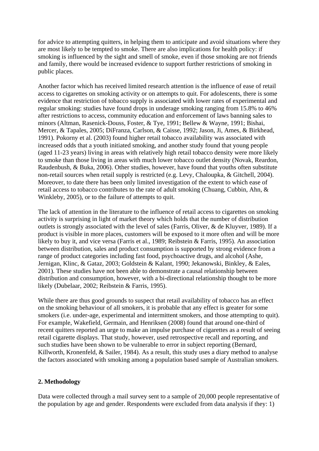for advice to attempting quitters, in helping them to anticipate and avoid situations where they are most likely to be tempted to smoke. There are also implications for health policy: if smoking is influenced by the sight and smell of smoke, even if those smoking are not friends and family, there would be increased evidence to support further restrictions of smoking in public places.

Another factor which has received limited research attention is the influence of ease of retail access to cigarettes on smoking activity or on attempts to quit. For adolescents, there is some evidence that restriction of tobacco supply is associated with lower rates of experimental and regular smoking: studies have found drops in underage smoking ranging from 15.8% to 46% after restrictions to access, community education and enforcement of laws banning sales to minors (Altman, Rasenick-Douss, Foster, & Tye, 1991; Bellew & Wayne, 1991; Bishai, Mercer, & Tapales, 2005; DiFranza, Carlson, & Caisse, 1992; Jason, Ji, Ames, & Birkhead, 1991). Pokorny et al. (2003) found higher retail tobacco availability was associated with increased odds that a youth initiated smoking, and another study found that young people (aged 11-23 years) living in areas with relatively high retail tobacco density were more likely to smoke than those living in areas with much lower tobacco outlet density (Novak, Reardon, Raudenbush, & Buka, 2006). Other studies, however, have found that youths often substitute non-retail sources when retail supply is restricted (e.g. Levy, Chaloupka, & Gitchell, 2004). Moreover, to date there has been only limited investigation of the extent to which ease of retail access to tobacco contributes to the rate of adult smoking (Chuang, Cubbin, Ahn, & Winkleby, 2005), or to the failure of attempts to quit.

The lack of attention in the literature to the influence of retail access to cigarettes on smoking activity is surprising in light of market theory which holds that the number of distribution outlets is strongly associated with the level of sales (Farris, Oliver, & de Kluyver, 1989). If a product is visible in more places, customers will be exposed to it more often and will be more likely to buy it, and vice versa (Farris et al., 1989; Reibstein & Farris, 1995). An association between distribution, sales and product consumption is supported by strong evidence from a range of product categories including fast food, psychoactive drugs, and alcohol (Ashe, Jernigan, Klinc, & Gataz, 2003; Goldstein & Kalant, 1990; Jekanowski, Binkley, & Eales, 2001). These studies have not been able to demonstrate a causal relationship between distribution and consumption, however, with a bi-directional relationship thought to be more likely (Dubelaar, 2002; Reibstein & Farris, 1995).

While there are thus good grounds to suspect that retail availability of tobacco has an effect on the smoking behaviour of all smokers, it is probable that any effect is greater for some smokers (i.e. under-age, experimental and intermittent smokers, and those attempting to quit). For example, Wakefield, Germain, and Henriksen (2008) found that around one-third of recent quitters reported an urge to make an impulse purchase of cigarettes as a result of seeing retail cigarette displays. That study, however, used retrospective recall and reporting, and such studies have been shown to be vulnerable to error in subject reporting (Bernard, Killworth, Kronenfeld, & Sailer, 1984). As a result, this study uses a diary method to analyse the factors associated with smoking among a population based sample of Australian smokers.

#### **2. Methodology**

Data were collected through a mail survey sent to a sample of 20,000 people representative of the population by age and gender. Respondents were excluded from data analysis if they: 1)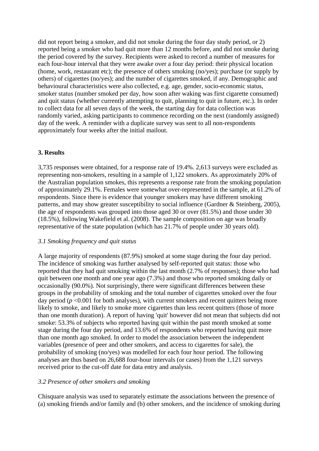did not report being a smoker, and did not smoke during the four day study period, or 2) reported being a smoker who had quit more than 12 months before, and did not smoke during the period covered by the survey. Recipients were asked to record a number of measures for each four-hour interval that they were awake over a four day period: their physical location (home, work, restaurant etc); the presence of others smoking (no/yes); purchase (or supply by others) of cigarettes (no/yes); and the number of cigarettes smoked, if any. Demographic and behavioural characteristics were also collected, e.g. age, gender, socio-economic status, smoker status (number smoked per day, how soon after waking was first cigarette consumed) and quit status (whether currently attempting to quit, planning to quit in future, etc.). In order to collect data for all seven days of the week, the starting day for data collection was randomly varied, asking participants to commence recording on the next (randomly assigned) day of the week. A reminder with a duplicate survey was sent to all non-respondents approximately four weeks after the initial mailout.

#### **3. Results**

3,735 responses were obtained, for a response rate of 19.4%. 2,613 surveys were excluded as representing non-smokers, resulting in a sample of 1,122 smokers. As approximately 20% of the Australian population smokes, this represents a response rate from the smoking population of approximately 29.1%. Females were somewhat over-represented in the sample, at 61.2% of respondents. Since there is evidence that younger smokers may have different smoking patterns, and may show greater susceptibility to social influence (Gardner & Steinberg, 2005), the age of respondents was grouped into those aged 30 or over (81.5%) and those under 30 (18.5%), following Wakefield et al. (2008). The sample composition on age was broadly representative of the state population (which has 21.7% of people under 30 years old).

#### *3.1 Smoking frequency and quit status*

A large majority of respondents (87.9%) smoked at some stage during the four day period. The incidence of smoking was further analysed by self-reported quit status: those who reported that they had quit smoking within the last month (2.7% of responses); those who had quit between one month and one year ago (7.3%) and those who reported smoking daily or occasionally (90.0%). Not surprisingly, there were significant differences between these groups in the probability of smoking and the total number of cigarettes smoked over the four day period ( $p < 0.001$  for both analyses), with current smokers and recent quitters being more likely to smoke, and likely to smoke more cigarettes than less recent quitters (those of more than one month duration). A report of having 'quit' however did not mean that subjects did not smoke: 53.3% of subjects who reported having quit within the past month smoked at some stage during the four day period, and 13.6% of respondents who reported having quit more than one month ago smoked. In order to model the association between the independent variables (presence of peer and other smokers, and access to cigarettes for sale), the probability of smoking (no/yes) was modelled for each four hour period. The following analyses are thus based on 26,688 four-hour intervals (or cases) from the 1,121 surveys received prior to the cut-off date for data entry and analysis.

#### *3.2 Presence of other smokers and smoking*

Chisquare analysis was used to separately estimate the associations between the presence of (a) smoking friends and/or family and (b) other smokers, and the incidence of smoking during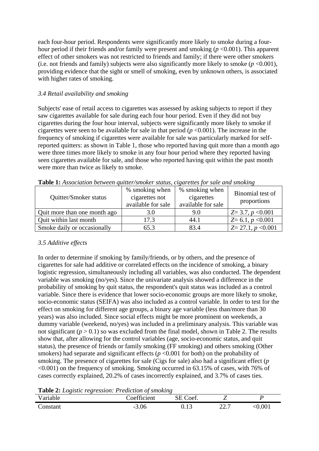each four-hour period. Respondents were significantly more likely to smoke during a fourhour period if their friends and/or family were present and smoking (*p* <0.001). This apparent effect of other smokers was not restricted to friends and family; if there were other smokers (i.e. not friends and family) subjects were also significantly more likely to smoke  $(p \le 0.001)$ , providing evidence that the sight or smell of smoking, even by unknown others, is associated with higher rates of smoking.

## *3.4 Retail availability and smoking*

Subjects' ease of retail access to cigarettes was assessed by asking subjects to report if they saw cigarettes available for sale during each four hour period. Even if they did not buy cigarettes during the four hour interval, subjects were significantly more likely to smoke if cigarettes were seen to be available for sale in that period  $(p < 0.001)$ . The increase in the frequency of smoking if cigarettes were available for sale was particularly marked for selfreported quitters: as shown in Table 1, those who reported having quit more than a month ago were three times more likely to smoke in any four hour period where they reported having seen cigarettes available for sale, and those who reported having quit within the past month were more than twice as likely to smoke.

| Quitter/Smoker status        | % smoking when<br>cigarettes not<br>available for sale | % smoking when<br>cigarettes<br>available for sale | Binomial test of<br>proportions |
|------------------------------|--------------------------------------------------------|----------------------------------------------------|---------------------------------|
| Quit more than one month ago | 3.0                                                    | 9.0                                                | $Z=3.7, p<0.001$                |
| Quit within last month       | 17.3                                                   | 44.1                                               | $Z=6.1, p<0.001$                |
| Smoke daily or occasionally  | 65.3                                                   | 83.4                                               | $Z = 27.1, p < 0.001$           |

**Table 1:** *Association between quitter/smoker status, cigarettes for sale and smoking* 

## *3.5 Additive effects*

In order to determine if smoking by family/friends, or by others, and the presence of cigarettes for sale had additive or correlated effects on the incidence of smoking, a binary logistic regression, simultaneously including all variables, was also conducted. The dependent variable was smoking (no/yes). Since the univariate analysis showed a difference in the probability of smoking by quit status, the respondent's quit status was included as a control variable. Since there is evidence that lower socio-economic groups are more likely to smoke, socio-economic status (SEIFA) was also included as a control variable. In order to test for the effect on smoking for different age groups, a binary age variable (less than/more than 30 years) was also included. Since social effects might be more prominent on weekends, a dummy variable (weekend, no/yes) was included in a preliminary analysis. This variable was not significant  $(p > 0.1)$  so was excluded from the final model, shown in Table 2. The results show that, after allowing for the control variables (age, socio-economic status, and quit status), the presence of friends or family smoking (FF smoking) and others smoking (Other smokers) had separate and significant effects ( $p < 0.001$  for both) on the probability of smoking. The presence of cigarettes for sale (Cigs for sale) also had a significant effect (*p*  $\leq 0.001$ ) on the frequency of smoking. Smoking occurred in 63.15% of cases, with 76% of cases correctly explained, 20.2% of cases incorrectly explained, and 3.7% of cases ties.

**Table 2:** *Logistic regression: Prediction of smoking* 

| <b>LAUIC E.</b> LUXISIIC LUXIUSSIUM. I FURICIIUM UF SHUNING |             |          |      |        |
|-------------------------------------------------------------|-------------|----------|------|--------|
| Variable                                                    | Coefficient | SE Coef. |      |        |
| Constant                                                    | $-3.06$     | 0.13     | 22.7 | z0.001 |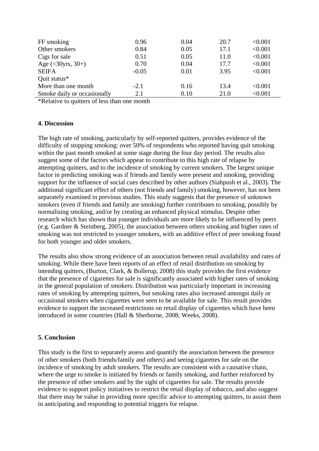| FF smoking                  | 0.96    | 0.04 | 20.7 | < 0.001 |
|-----------------------------|---------|------|------|---------|
| Other smokers               | 0.84    | 0.05 | 17.1 | < 0.001 |
| Cigs for sale               | 0.51    | 0.05 | 11.0 | < 0.001 |
| Age $(30\gammars, 30+)$     | 0.70    | 0.04 | 17.7 | < 0.001 |
| <b>SEIFA</b>                | $-0.05$ | 0.01 | 3.95 | < 0.001 |
| Quit status*                |         |      |      |         |
| More than one month         | $-2.1$  | 0.16 | 13.4 | < 0.001 |
| Smoke daily or occasionally | 2.1     | 0.10 | 21.0 | < 0.001 |

\*Relative to quitters of less than one month

#### **4. Discussion**

The high rate of smoking, particularly by self-reported quitters, provides evidence of the difficulty of stopping smoking: over 50% of respondents who reported having quit smoking within the past month smoked at some stage during the four day period. The results also suggest some of the factors which appear to contribute to this high rate of relapse by attempting quitters, and to the incidence of smoking by current smokers. The largest unique factor in predicting smoking was if friends and family were present and smoking, providing support for the influence of social cues described by other authors (Siahpush et al., 2003). The additional significant effect of others (not friends and family) smoking, however, has not been separately examined in previous studies. This study suggests that the presence of unknown smokers (even if friends and family are smoking) further contributes to smoking, possibly by normalising smoking, and/or by creating an enhanced physical stimulus. Despite other research which has shown that younger individuals are more likely to be influenced by peers (e.g. Gardner & Steinberg, 2005), the association between others smoking and higher rates of smoking was not restricted to younger smokers, with an additive effect of peer smoking found for both younger and older smokers.

The results also show strong evidence of an association between retail availability and rates of smoking. While there have been reports of an effect of retail distribution on smoking by intending quitters, (Burton, Clark, & Bollerup, 2008) this study provides the first evidence that the presence of cigarettes for sale is significantly associated with higher rates of smoking in the general population of smokers. Distribution was particularly important in increasing rates of smoking by attempting quitters, but smoking rates also increased amongst daily or occasional smokers when cigarettes were seen to be available for sale. This result provides evidence to support the increased restrictions on retail display of cigarettes which have been introduced in some countries (Hall & Sherborne, 2008; Weeks, 2008).

#### **5. Conclusion**

This study is the first to separately assess and quantify the association between the presence of other smokers (both friends/family and others) and seeing cigarettes for sale on the incidence of smoking by adult smokers. The results are consistent with a causative chain, where the urge to smoke is initiated by friends or family smoking, and further reinforced by the presence of other smokers and by the sight of cigarettes for sale. The results provide evidence to support policy initiatives to restrict the retail display of tobacco, and also suggest that there may be value in providing more specific advice to attempting quitters, to assist them in anticipating and responding to potential triggers for relapse.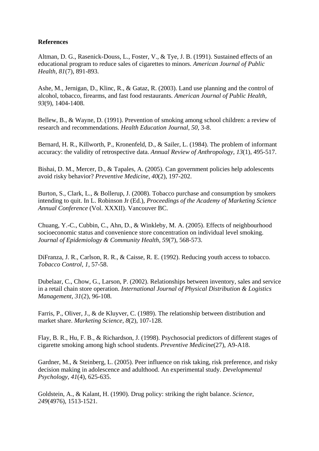#### **References**

Altman, D. G., Rasenick-Douss, L., Foster, V., & Tye, J. B. (1991). Sustained effects of an educational program to reduce sales of cigarettes to minors. *American Journal of Public Health, 81*(7), 891-893.

Ashe, M., Jernigan, D., Klinc, R., & Gataz, R. (2003). Land use planning and the control of alcohol, tobacco, firearms, and fast food restaurants. *American Journal of Public Health, 93*(9), 1404-1408.

Bellew, B., & Wayne, D. (1991). Prevention of smoking among school children: a review of research and recommendations. *Health Education Journal, 50*, 3-8.

Bernard, H. R., Killworth, P., Kronenfeld, D., & Sailer, L. (1984). The problem of informant accuracy: the validity of retrospective data. *Annual Review of Anthropology, 13*(1), 495-517.

Bishai, D. M., Mercer, D., & Tapales, A. (2005). Can government policies help adolescents avoid risky behavior? *Preventive Medicine, 40*(2), 197-202.

Burton, S., Clark, L., & Bollerup, J. (2008). Tobacco purchase and consumption by smokers intending to quit. In L. Robinson Jr (Ed.), *Proceedings of the Academy of Marketing Science Annual Conference* (Vol. XXXII). Vancouver BC.

Chuang, Y.-C., Cubbin, C., Ahn, D., & Winkleby, M. A. (2005). Effects of neighbourhood socioeconomic status and convenience store concentration on individual level smoking. *Journal of Epidemiology & Community Health, 59*(7), 568-573.

DiFranza, J. R., Carlson, R. R., & Caisse, R. E. (1992). Reducing youth access to tobacco. *Tobacco Control, 1*, 57-58.

Dubelaar, C., Chow, G., Larson, P. (2002). Relationships between inventory, sales and service in a retail chain store operation. *International Journal of Physical Distribution & Logistics Management, 31*(2), 96-108.

Farris, P., Oliver, J., & de Kluyver, C. (1989). The relationship between distribution and market share. *Marketing Science, 8*(2), 107-128.

Flay, B. R., Hu, F. B., & Richardson, J. (1998). Psychosocial predictors of different stages of cigarette smoking among high school students. *Preventive Medicine*(27), A9-A18.

Gardner, M., & Steinberg, L. (2005). Peer influence on risk taking, risk preference, and risky decision making in adolescence and adulthood. An experimental study. *Developmental Psychology, 41*(4), 625-635.

Goldstein, A., & Kalant, H. (1990). Drug policy: striking the right balance. *Science, 249*(4976), 1513-1521.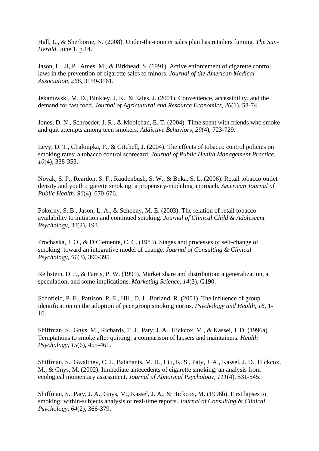Hall, L., & Sherborne, N. (2008). Under-the-counter sales plan has retailers fuming*. The Sun-Herald,* June 1, p.14.

Jason, L., Ji, P., Ames, M., & Birkhead, S. (1991). Active enforcement of cigarette control laws in the prevention of cigarette sales to minors. *Journal of the American Medical Association, 266*, 3159-3161.

Jekanowski, M. D., Binkley, J. K., & Eales, J. (2001). Convenience, accessibility, and the demand for fast food. *Journal of Agricultural and Resource Economics, 26*(1), 58-74.

Jones, D. N., Schroeder, J. R., & Moolchan, E. T. (2004). Time spent with friends who smoke and quit attempts among teen smokers. *Addictive Behaviors, 29*(4), 723-729.

Levy, D. T., Chaloupka, F., & Gitchell, J. (2004). The effects of tobacco control policies on smoking rates: a tobacco control scorecard. *Journal of Public Health Management Practice, 10*(4), 338-353.

Novak, S. P., Reardon, S. F., Raudenbush, S. W., & Buka, S. L. (2006). Retail tobacco outlet density and youth cigarette smoking: a propensity-modeling approach. *American Journal of Public Health, 96*(4), 670-676.

Pokorny, S. B., Jason, L. A., & Schoeny, M. E. (2003). The relation of retail tobacco availability to initiation and continued smoking. *Journal of Clinical Child & Adolescent Psychology, 32*(2), 193.

Prochaska, J. O., & DiClemente, C. C. (1983). Stages and processes of self-change of smoking: toward an integrative model of change. *Journal of Consulting & Clinical Psychology, 51*(3), 390-395.

Reibstein, D. J., & Farris, P. W. (1995). Market share and distribution: a generalization, a speculation, and some implications. *Marketing Science, 14*(3), G190.

Schofield, P. E., Pattison, P. E., Hill, D. J., Borland, R. (2001). The influence of group identification on the adoption of peer group smoking norms. *Psychology and Health, 16*, 1- 16.

Shiffman, S., Gnys, M., Richards, T. J., Paty, J. A., Hickcox, M., & Kassel, J. D. (1996a). Temptations to smoke after quitting: a comparison of lapsers and maintainers. *Health Psychology, 15*(6), 455-461.

Shiffman, S., Gwaltney, C. J., Balabanis, M. H., Liu, K. S., Paty, J. A., Kassel, J. D., Hickcox, M., & Gnys, M. (2002). Immediate antecedents of cigarette smoking: an analysis from ecological momentary assessment. *Journal of Abnormal Psychology, 111*(4), 531-545.

Shiffman, S., Paty, J. A., Gnys, M., Kassel, J. A., & Hickcox, M. (1996b). First lapses to smoking: within-subjects analysis of real-time reports. *Journal of Consulting & Clinical Psychology, 64*(2), 366-379.